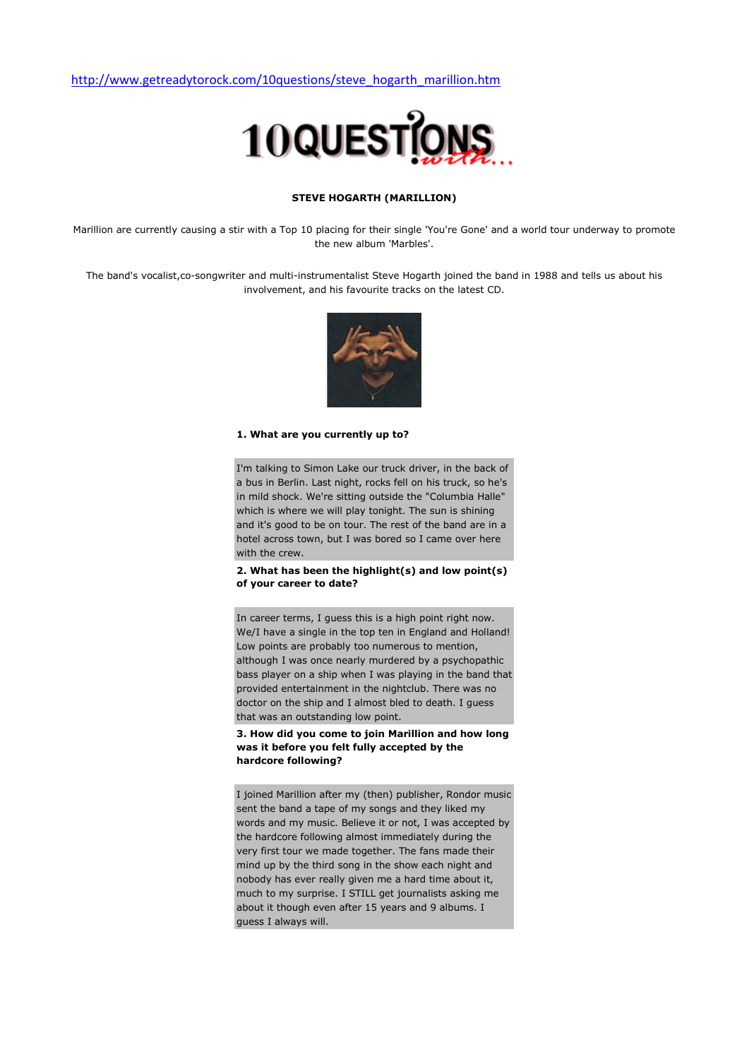http://www.getreadytorock.com/10questions/steve\_hogarth\_marillion.htm



# STEVE HOGARTH (MARILLION)

Marillion are currently causing a stir with a Top 10 placing for their single 'You're Gone' and a world tour underway to promote the new album 'Marbles'.

The band's vocalist,co-songwriter and multi-instrumentalist Steve Hogarth joined the band in 1988 and tells us about his involvement, and his favourite tracks on the latest CD.



### 1. What are you currently up to?

I'm talking to Simon Lake our truck driver, in the back of a bus in Berlin. Last night, rocks fell on his truck, so he's in mild shock. We're sitting outside the "Columbia Halle" which is where we will play tonight. The sun is shining and it's good to be on tour. The rest of the band are in a hotel across town, but I was bored so I came over here with the crew.

# 2. What has been the highlight(s) and low point(s) of your career to date?

In career terms, I guess this is a high point right now. We/I have a single in the top ten in England and Holland! Low points are probably too numerous to mention, although I was once nearly murdered by a psychopathic bass player on a ship when I was playing in the band that provided entertainment in the nightclub. There was no doctor on the ship and I almost bled to death. I guess that was an outstanding low point.

3. How did you come to join Marillion and how long was it before you felt fully accepted by the hardcore following?

I joined Marillion after my (then) publisher, Rondor music sent the band a tape of my songs and they liked my words and my music. Believe it or not, I was accepted by the hardcore following almost immediately during the very first tour we made together. The fans made their mind up by the third song in the show each night and nobody has ever really given me a hard time about it, much to my surprise. I STILL get journalists asking me about it though even after 15 years and 9 albums. I guess I always will.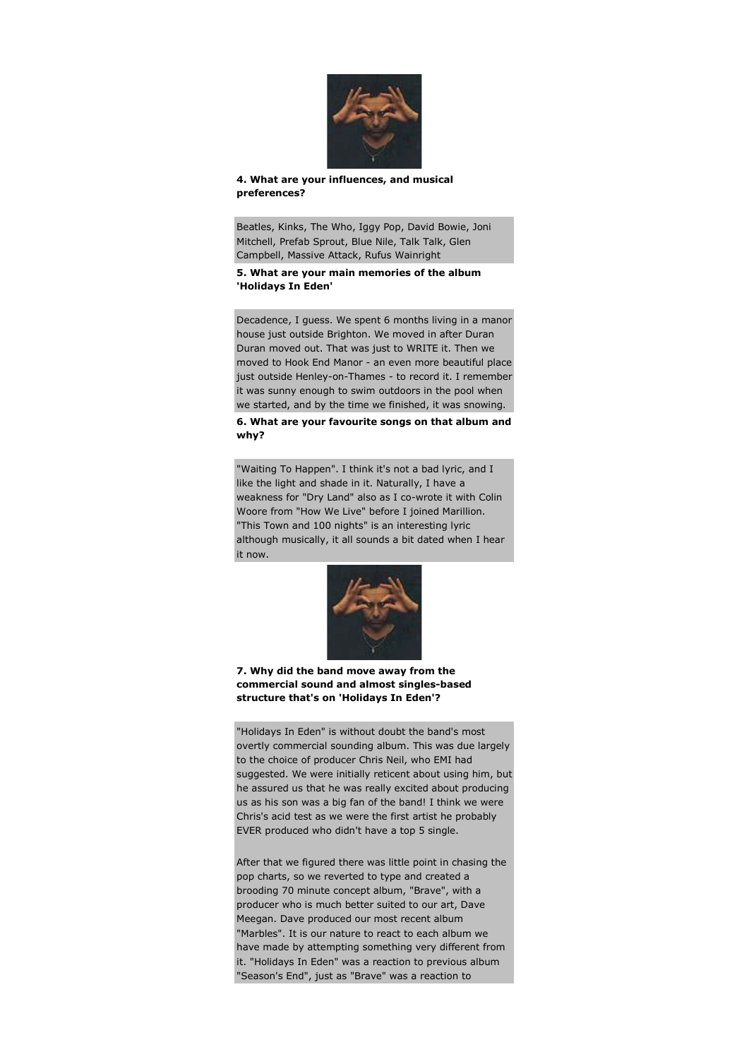

### 4. What are your influences, and musical preferences?

Beatles, Kinks, The Who, Iggy Pop, David Bowie, Joni Mitchell, Prefab Sprout, Blue Nile, Talk Talk, Glen Campbell, Massive Attack, Rufus Wainright

# 5. What are your main memories of the album 'Holidays In Eden'

Decadence, I guess. We spent 6 months living in a manor house just outside Brighton. We moved in after Duran Duran moved out. That was just to WRITE it. Then we moved to Hook End Manor - an even more beautiful place just outside Henley-on-Thames - to record it. I remember it was sunny enough to swim outdoors in the pool when we started, and by the time we finished, it was snowing. 6. What are your favourite songs on that album and

why?

"Waiting To Happen". I think it's not a bad lyric, and I like the light and shade in it. Naturally, I have a weakness for "Dry Land" also as I co-wrote it with Colin Woore from "How We Live" before I joined Marillion. "This Town and 100 nights" is an interesting lyric although musically, it all sounds a bit dated when I hear it now.



7. Why did the band move away from the commercial sound and almost singles-based structure that's on 'Holidays In Eden'?

"Holidays In Eden" is without doubt the band's most overtly commercial sounding album. This was due largely to the choice of producer Chris Neil, who EMI had suggested. We were initially reticent about using him, but he assured us that he was really excited about producing us as his son was a big fan of the band! I think we were Chris's acid test as we were the first artist he probably EVER produced who didn't have a top 5 single.

After that we figured there was little point in chasing the pop charts, so we reverted to type and created a brooding 70 minute concept album, "Brave", with a producer who is much better suited to our art, Dave Meegan. Dave produced our most recent album "Marbles". It is our nature to react to each album we have made by attempting something very different from it. "Holidays In Eden" was a reaction to previous album "Season's End", just as "Brave" was a reaction to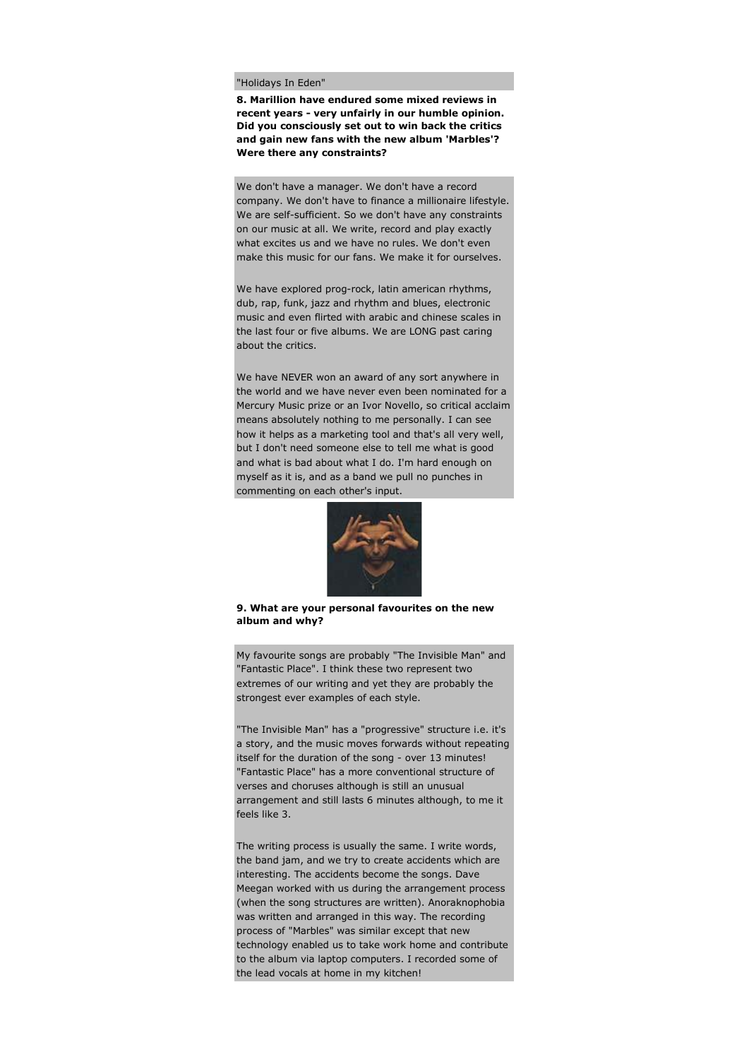"Holidays In Eden"

8. Marillion have endured some mixed reviews in recent years - very unfairly in our humble opinion. Did you consciously set out to win back the critics and gain new fans with the new album 'Marbles'? Were there any constraints?

We don't have a manager. We don't have a record company. We don't have to finance a millionaire lifestyle. We are self-sufficient. So we don't have any constraints on our music at all. We write, record and play exactly what excites us and we have no rules. We don't even make this music for our fans. We make it for ourselves.

We have explored prog-rock, latin american rhythms, dub, rap, funk, jazz and rhythm and blues, electronic music and even flirted with arabic and chinese scales in the last four or five albums. We are LONG past caring about the critics.

We have NEVER won an award of any sort anywhere in the world and we have never even been nominated for a Mercury Music prize or an Ivor Novello, so critical acclaim means absolutely nothing to me personally. I can see how it helps as a marketing tool and that's all very well, but I don't need someone else to tell me what is good and what is bad about what I do. I'm hard enough on myself as it is, and as a band we pull no punches in commenting on each other's input.



9. What are your personal favourites on the new album and why?

My favourite songs are probably "The Invisible Man" and "Fantastic Place". I think these two represent two extremes of our writing and yet they are probably the strongest ever examples of each style.

"The Invisible Man" has a "progressive" structure i.e. it's a story, and the music moves forwards without repeating itself for the duration of the song - over 13 minutes! "Fantastic Place" has a more conventional structure of verses and choruses although is still an unusual arrangement and still lasts 6 minutes although, to me it feels like 3.

The writing process is usually the same. I write words, the band jam, and we try to create accidents which are interesting. The accidents become the songs. Dave Meegan worked with us during the arrangement process (when the song structures are written). Anoraknophobia was written and arranged in this way. The recording process of "Marbles" was similar except that new technology enabled us to take work home and contribute to the album via laptop computers. I recorded some of the lead vocals at home in my kitchen!